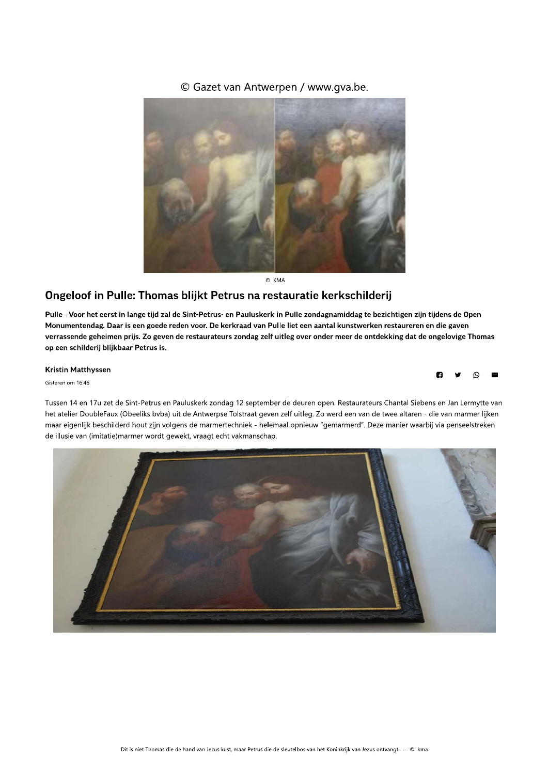### © Gazet van Antwerpen / www.gya.be.



C KMA

## Ongeloof in Pulle: Thomas blijkt Petrus na restauratie kerkschilderij

Pulle - Voor het eerst in lange tiid zal de Sint-Petrus- en Pauluskerk in Pulle Ongeloof in Pulle: Thomas blijkt Petrus na restauratie kerkschilderij<br>
Pulle - Voor het eerst in lange tijd zal de Sint-Petrus- en Pauluskerk in Pulle zondagnamiddag te bezichtigen zijn tijdens de Open<br>
Monumentendag. Daar le liet een aantal k **COMERT EXECT SOMES COMERT ASSEM SERVE ARE CONDUCTS AND SERVE A THE TIME SONE OF A THE TIME SO THE SONE CONDUCTS AND THE TIME SO GET SO SERVERT AND THE USE OF A THE SONET AND NONLINE ISLAM THE USE OF A THE SONET AND NONLIN** verrassende geheimen prijs. Zo geven de restaurateurs zondag zelf uitleg over onder meer de ontdekking dat de ongelovige Thomas EXERICATION OF KMA<br>
SERIES **NA PERIOD CONTENTS AND A PROPERTION CONTINUES**<br>
The Pauluskerk in Pulle zondagnamiddag te bezichtigen zijn tijdens<br>
First zondag zelf uitleg over onder meer de ontdekking dat de ongelo<br>
First zo **Ongeloof in Pulle: Thomas blijkt Petrus na restauratie kerkschilderij**<br>
Pulle - Voor het eerst in lange tijd zal de Sint-Petrus- en Pauluskerk in Pulle zondagnamiddag te bezichtigen zijn tijdens de Open<br>
Monumentendag. Da derii bliikbaar Petrus is.

#### **Kristin Matthyssen**

Gisteren om 16:46

Tussen 14 en 17u zet de Sint-Petrus en Pauluskerk zondag 12 september de deuren open. Restaurateurs Chantal Siebens en Jan Lermytte van het atelier DoubleFaux (Obeeliks byba) uit de Antwerpse Tolstraat geven zelf uitleg. Zo werd een van de twee altaren - die van marmer liiken maar eigenlijk beschilderd hout zijn volgens de marmertechniek - helemaal opnieuw "gemarmerd". Deze manier waarbij via penseelstreken de illusie van (imitatie)marmer wordt gewekt, vraagt echt vakmanschap.

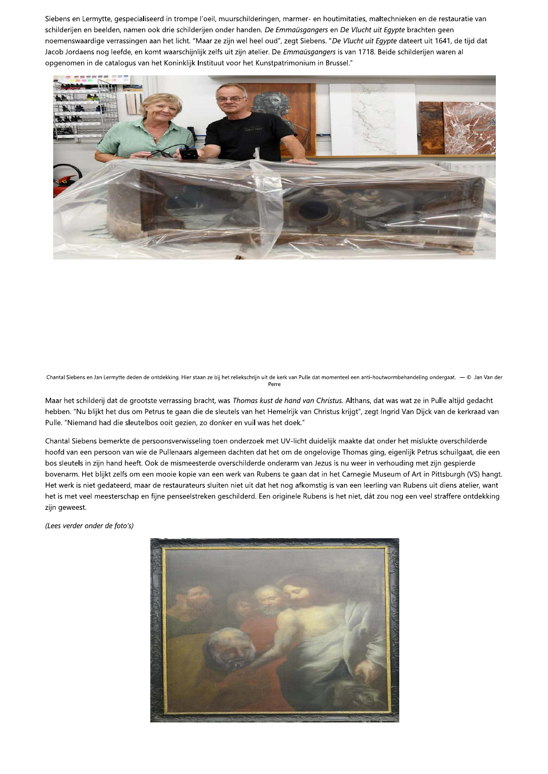Siebens en Lermytte, gespecialiseerd in trompe l'oeil, muurschilderingen, marmer- en houtimitaties, maltechnieken en de restauratie van schilderijen en beelden, namen ook drie schilderijen onder handen. De Emmaüsgangers en De Vlucht uit Egypte brachten geen noemenswaardige verrassingen aan het licht. "Maar ze zijn wel heel oud", zegt Siebens. "De Vlucht uit Egypte dateert uit 1641, de tijd dat Jacob Jordaens nog leefde, en komt waarschijnlijk zelfs uit zijn atelier. De Emmaüsgangers is van 1718. Beide schilderijen waren al opgenomen in de catalogus van het Koninklijk Instituut voor het Kunstpatrimonium in Brussel."



Chantal Siebens en Jan Lermytte deden de ontdekking. Hier staan ze bij het reliekschrijn uit de kerk van Pulle dat momenteel een anti-houtwormbehandeling ondergaat.  $\$  © Jan Van der

Maar het schilderij dat de grootste verrassing bracht, was Thomas kust de hand van Christus. Althans, dat was wat ze in Pulle altijd gedacht hebben. "Nu blijkt het dus om Petrus te gaan die de sleutels van het Hemelrijk van Christus krijgt", zegt Ingrid Van Dijck van de kerkraad van Pulle. "Niemand had die sleutelbos ooit gezien, zo donker en vuil was het doek."

Chantal Siebens bemerkte de persoonsverwisseling toen onderzoek met UV-licht duidelijk maakte dat onder het mislukte overschilderde hoofd van een persoon van wie de Pullenaars algemeen dachten dat het om de ongelovige Thomas ging, eigenlijk Petrus schuilgaat, die een bos sleutels in zijn hand heeft. Ook de mismeesterde overschilderde onderarm van Jezus is nu weer in verhouding met zijn gespierde bovenarm. Het blijkt zelfs om een mooie kopie van een werk van Rubens te gaan dat in het Carnegie Museum of Art in Pittsburgh (VS) hangt. Het werk is niet gedateerd, maar de restaurateurs sluiten niet uit dat het nog afkomstig is van een leerling van Rubens uit diens atelier, want het is met veel meesterschap en fijne penseelstreken geschilderd. Een originele Rubens is het niet, dát zou nog een veel straffere ontdekking zijn geweest.

(Lees verder onder de foto's)

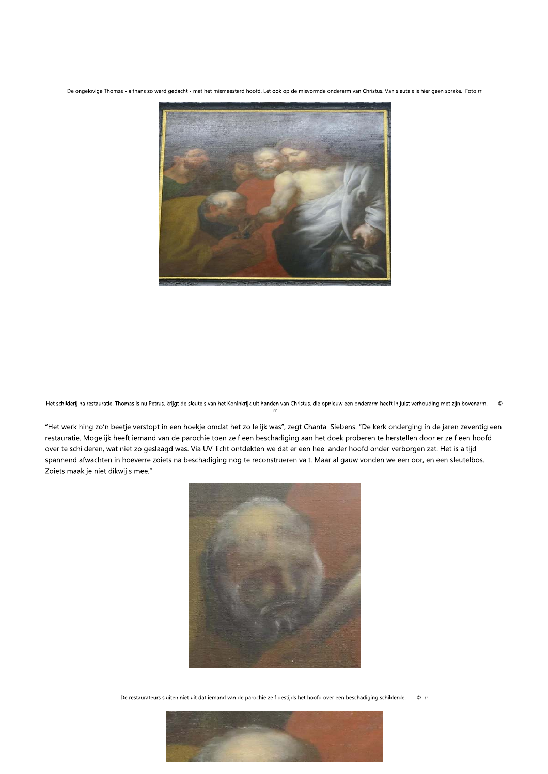De ongelovige Thomas - althans zo werd gedacht - met het mismeesterd hoofd. Let ook op de misvormde onderarm van Christus. Van sleutels is hier geen sprake. Foto rr



Het schilderij na restauratie. Thomas is nu Petrus, krijgt de sleutels van het Koninkrijk uit handen van Christus, die opnieuw een onderarm heeft in juist verhouding met zijn bovenarm.  $-$  ©

"Het werk hing zo'n beetje verstopt in een hoekje omdat het zo lelijk was", zegt Chantal Siebens. "De kerk onderging in de jaren zeventig een restauratie. Mogelijk heeft iemand van de parochie toen zelf een beschadiging aan het doek proberen te herstellen door er zelf een hoofd over te schilderen, wat niet zo geslaagd was. Via UV-licht ontdekten we dat er een heel ander hoofd onder verborgen zat. Het is altijd spannend afwachten in hoeverre zoiets na beschadiging nog te reconstrueren valt. Maar al gauw vonden we een oor, en een sleutelbos. Zoiets maak je niet dikwijls mee."



De restaurateurs sluiten niet uit dat iemand van de parochie zelf destijds het hoofd over een beschadiging schilderde.  $-$  © rr

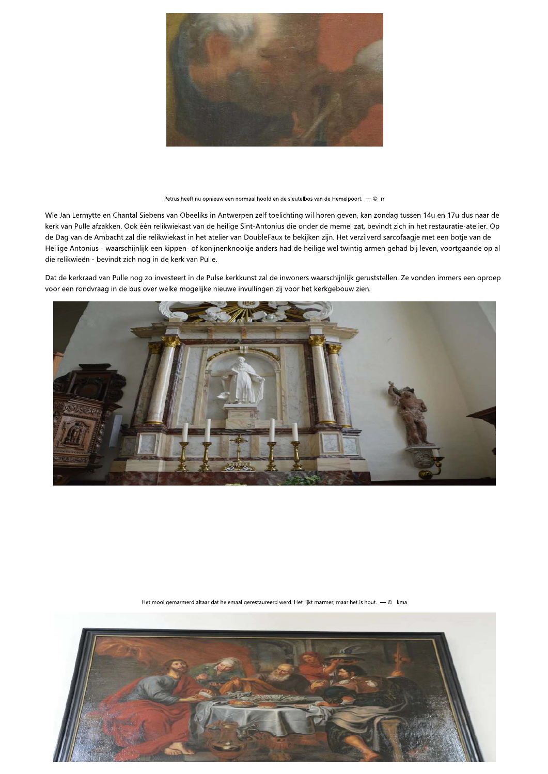

Petrus heeft nu opnieuw een normaal hoofd en de sleutelbos van de Hemelpoort. - © rr

Wie Jan Lermytte en Chantal Siebens van Obeeliks in Antwerpen zelf toelichting wil horen geven, kan zondag tussen 14u en 17u dus naar de kerk van Pulle afzakken. Ook één relikwiekast van de heilige Sint-Antonius die onder de memel zat, bevindt zich in het restauratie-atelier. Op de Dag van de Ambacht zal die relikwiekast in het atelier van DoubleFaux te bekijken zijn. Het verzilverd sarcofaagje met een botje van de Heilige Antonius - waarschijnlijk een kippen- of konijnenknookje anders had de heilige wel twintig armen gehad bij leven, voortgaande op al die relikwieën - bevindt zich nog in de kerk van Pulle.

Dat de kerkraad van Pulle nog zo investeert in de Pulse kerkkunst zal de inwoners waarschijnlijk geruststellen. Ze vonden immers een oproep voor een rondvraag in de bus over welke mogelijke nieuwe invullingen zij voor het kerkgebouw zien.



Het mooi gemarmerd altaar dat helemaal gerestaureerd werd. Het lijkt marmer, maar het is hout. — © kma

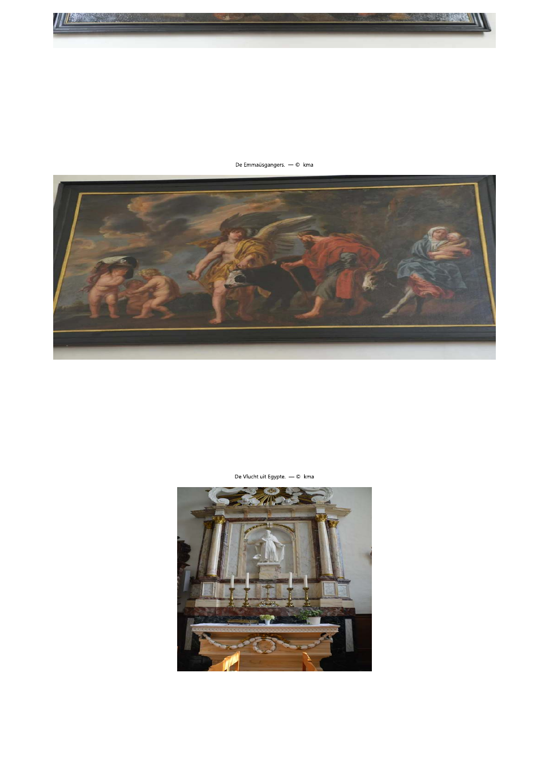



De Emmaüsgangers. - © kma

De Vlucht uit Egypte. - © kma

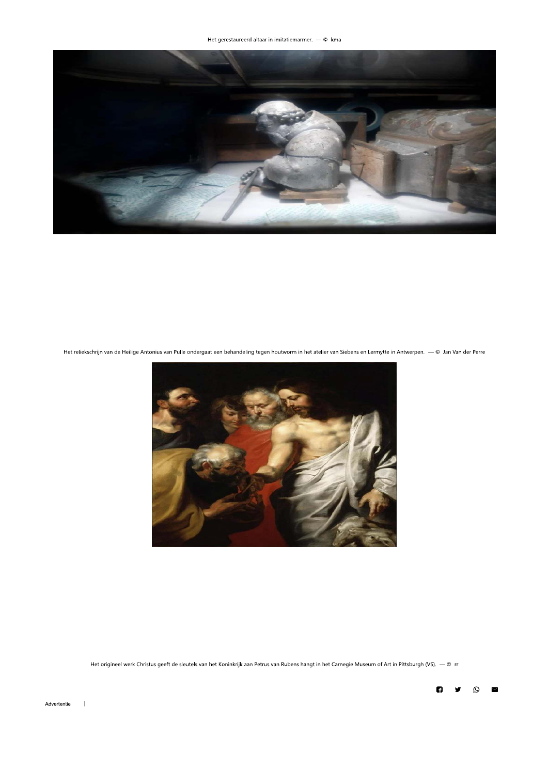

Het reliekschrijn van de Heilige Antonius van Pulle ondergaat een behandeling tegen houtworm in het atelier van Siebens en Lermytte in Antwerpen.  $-$  © Jan Van der Perre



Het origineel werk Christus geeft de sleutels van het Koninkrijk aan Petrus van Rubens hangt in het Carnegie Museum of Art in Pittsburgh (VS).  $-$  © rr



 $\perp$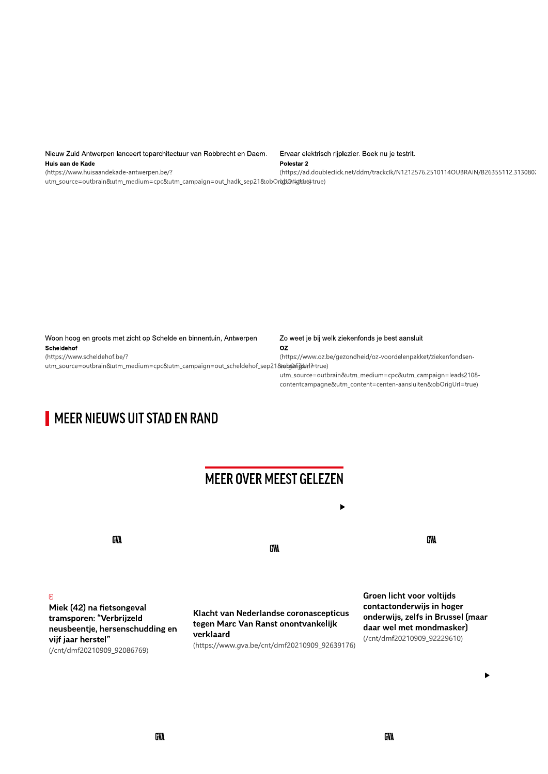Nieuw Zuid Antwerpen lanceert toparchitectuur van Robbrecht en Daem. Huis aan de Kade

(https://www.huisaandekade-antwerpen.be/?

S24:4L3ts4an de Kade<br>23:335112.313080; https://ad.doubleclick.net/ddm/trackclk/N1212576.2510114OUBRAIN/B26355112.313080;<br>23:3355112.313080; https://ad.doubleclick.net/ddm/trackclk/N1212576.2510114OUBRAIN/B26355112.313080;<br>

contentcampagne&utm\_content=centen-aansiuiten&obOrigUri=true)

| Woon hoog en groots met zicht op Schelde en binnentuin, Antwerpen                                | Zo weet je bij welk ziekenfonds je best aansluit                |
|--------------------------------------------------------------------------------------------------|-----------------------------------------------------------------|
| Scheldehof                                                                                       | OZ                                                              |
| (https://www.scheldehof.be/?                                                                     | (https://www.oz.be/gezondheid/oz-voordelenpakket/ziekenfondsen- |
| utm_source=outbrain&utm_medium=cpc&utm_campaign=out_scheldehof_sep21& <b>veb@rij¢drl</b> ?=true) |                                                                 |
|                                                                                                  | utm source=outbrain&utm medium=cpc&utm campaign=leads2108-      |
|                                                                                                  |                                                                 |

# MEER NIEUWS UIT STAD EN RAND

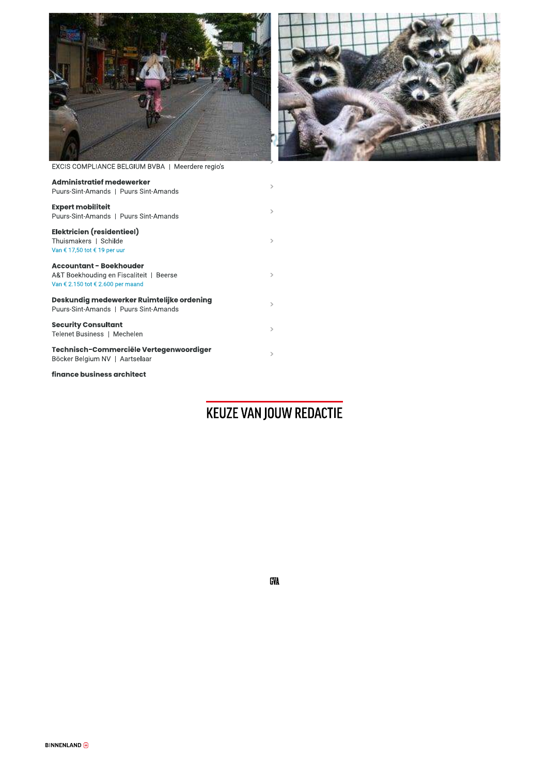



EXCIS COMPLIANCE BELGIUM BVBA | Meerdere regio's

| <b>Administratief medewerker</b><br>Puurs-Sint-Amands   Puurs Sint-Amands                                      | $\geq$        |
|----------------------------------------------------------------------------------------------------------------|---------------|
| <b>Expert mobiliteit</b><br>Puurs-Sint-Amands   Puurs Sint-Amands                                              | $\rightarrow$ |
| Elektricien (residentieel)<br>Thuismakers   Schilde<br>Van € 17,50 tot € 19 per uur                            | $\rightarrow$ |
| <b>Accountant - Boekhouder</b><br>A&T Boekhouding en Fiscaliteit   Beerse<br>Van € 2.150 tot € 2.600 per maand | $\rightarrow$ |
| Deskundig medewerker Ruimtelijke ordening<br>Puurs-Sint-Amands   Puurs Sint-Amands                             | $\rightarrow$ |
| <b>Security Consultant</b><br>Telenet Business   Mechelen                                                      | $\rightarrow$ |
| Technisch-Commerciële Vertegenwoordiger<br>Böcker Belgium NV   Aartselaar                                      | $\rightarrow$ |
| finance business architect                                                                                     |               |

## KEUZE VAN JOUW REDACTIE

GVA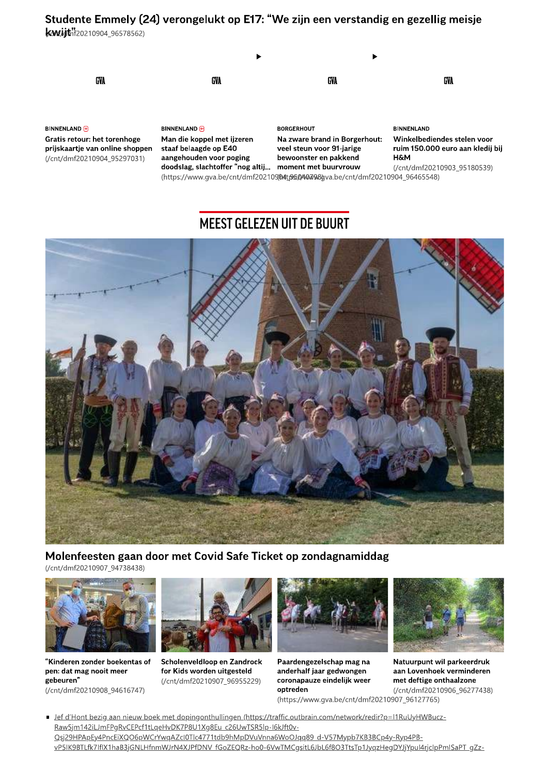## Studente Emmely (24) verongelukt op E17: "We zijn een verstandig en gezellig meisje

**KAW.igt**hf20210904\_96578562)



**BINNENLAND** Gratis retour: het torenhoge prijskaartje van online shoppen (/cnt/dmf20210904\_95297031)

**BINNENLAND +** Man die koppel met ijzeren staaf belaagde op E40 aangehouden voor poging doodslag, slachtoffer "nog altij... moment met buurvrouw

**BORGERHOUT** Na zware brand in Borgerhout: veel steun voor 91-jarige bewoonster en pakkend

**BINNENLAND** Winkelbediendes stelen voor ruim 150.000 euro aan kledij bij **H&M** 

(/cnt/dmf20210903 95180539) (https://www.gva.be/cnt/dmf20210904tp5040798gva.be/cnt/dmf20210904\_96465548)

## **MEEST GELEZEN UIT DE BUURT**



Molenfeesten gaan door met Covid Safe Ticket op zondagnamiddag

(/cnt/dmf20210907 94738438)



"Kinderen zonder boekentas of pen: dat mag nooit meer gebeuren" (/cnt/dmf20210908\_94616747)



Scholenveldloop en Zandrock for Kids worden uitgesteld (/cnt/dmf20210907 96955229)



Paardengezelschap mag na anderhalf jaar gedwongen coronapauze eindelijk weer optreden



Natuurpunt wil parkeerdruk aan Lovenhoek verminderen met deftige onthaalzone (/cnt/dmf20210906 96277438)

(https://www.qva.be/cnt/dmf20210907\_96127765)

- Jef d'Hont bezig aan nieuw boek met dopingonthullingen (https://traffic.outbrain.com/network/redir?p=I1RuUyHWBucz-Raw5jm142iLJmFPgRvCEPcf1tLqeHvDK7P8U1Xg8Eu\_c26UwTSR5lp-l6kJft0v-Qsj29HPApEy4PncEiXQO6pWCrYwqAZcl0Tlc4771tdb9hMpDVuVnna6WoOJqq89\_d-V57Mypb7KB3BCp4y-Ryp4PBvP5IK9BTLfk7IflX1haB3jGNLHfnmWJrN4XJPfDNV\_fGoZEQRz-ho0-6VwTMCgsitL6JbL6f8O3TtsTp1JyqzHegDYJjYpul4rjcIpPmlSaPT\_gZz